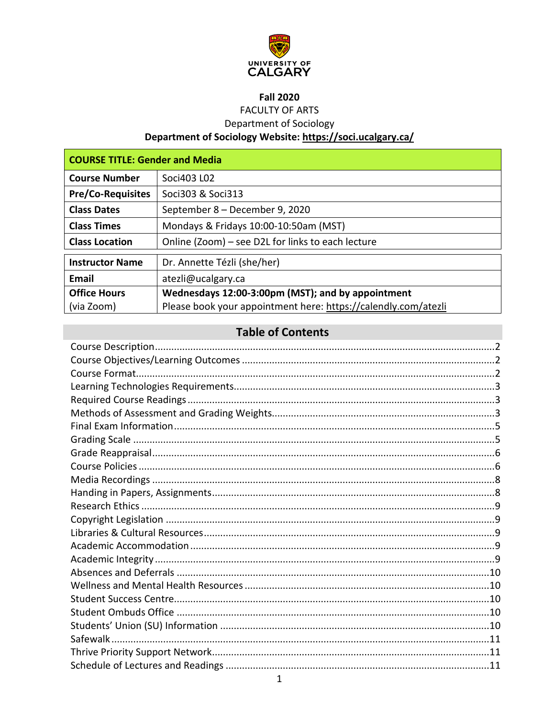

# **Fall 2020**

**FACULTY OF ARTS** 

**Department of Sociology** 

# Department of Sociology Website: https://soci.ucalgary.ca/

| <b>COURSE TITLE: Gender and Media</b> |                                                                |  |  |  |
|---------------------------------------|----------------------------------------------------------------|--|--|--|
| <b>Course Number</b>                  | Soci403 L02                                                    |  |  |  |
| <b>Pre/Co-Requisites</b>              | Soci303 & Soci313                                              |  |  |  |
| <b>Class Dates</b>                    | September 8 - December 9, 2020                                 |  |  |  |
| <b>Class Times</b>                    | Mondays & Fridays 10:00-10:50am (MST)                          |  |  |  |
| <b>Class Location</b>                 | Online (Zoom) – see D2L for links to each lecture              |  |  |  |
| <b>Instructor Name</b>                | Dr. Annette Tézli (she/her)                                    |  |  |  |
| Email                                 | atezli@ucalgary.ca                                             |  |  |  |
| <b>Office Hours</b>                   | Wednesdays 12:00-3:00pm (MST); and by appointment              |  |  |  |
| (via Zoom)                            | Please book your appointment here: https://calendly.com/atezli |  |  |  |

# **Table of Contents**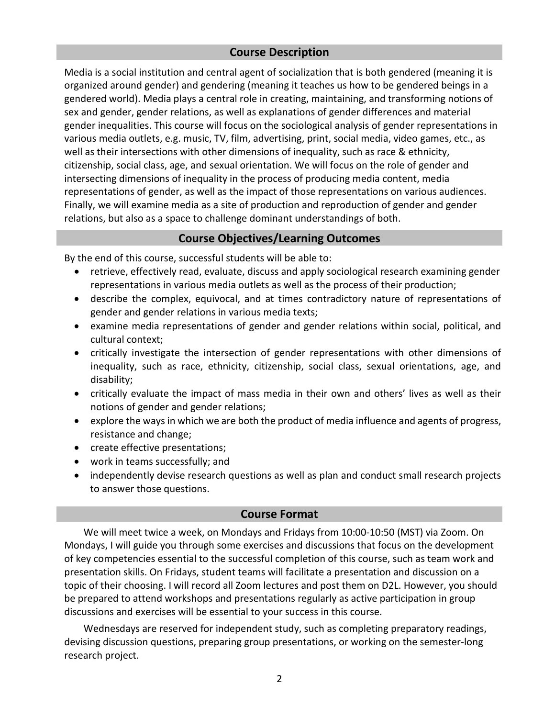# **Course Description**

<span id="page-1-0"></span>Media is a social institution and central agent of socialization that is both gendered (meaning it is organized around gender) and gendering (meaning it teaches us how to be gendered beings in a gendered world). Media plays a central role in creating, maintaining, and transforming notions of sex and gender, gender relations, as well as explanations of gender differences and material gender inequalities. This course will focus on the sociological analysis of gender representations in various media outlets, e.g. music, TV, film, advertising, print, social media, video games, etc., as well as their intersections with other dimensions of inequality, such as race & ethnicity, citizenship, social class, age, and sexual orientation. We will focus on the role of gender and intersecting dimensions of inequality in the process of producing media content, media representations of gender, as well as the impact of those representations on various audiences. Finally, we will examine media as a site of production and reproduction of gender and gender relations, but also as a space to challenge dominant understandings of both.

#### **Course Objectives/Learning Outcomes**

<span id="page-1-1"></span>By the end of this course, successful students will be able to:

- retrieve, effectively read, evaluate, discuss and apply sociological research examining gender representations in various media outlets as well as the process of their production;
- describe the complex, equivocal, and at times contradictory nature of representations of gender and gender relations in various media texts;
- examine media representations of gender and gender relations within social, political, and cultural context;
- critically investigate the intersection of gender representations with other dimensions of inequality, such as race, ethnicity, citizenship, social class, sexual orientations, age, and disability;
- critically evaluate the impact of mass media in their own and others' lives as well as their notions of gender and gender relations;
- explore the ways in which we are both the product of media influence and agents of progress, resistance and change;
- create effective presentations;
- work in teams successfully; and
- independently devise research questions as well as plan and conduct small research projects to answer those questions.

### **Course Format**

<span id="page-1-2"></span>We will meet twice a week, on Mondays and Fridays from 10:00-10:50 (MST) via Zoom. On Mondays, I will guide you through some exercises and discussions that focus on the development of key competencies essential to the successful completion of this course, such as team work and presentation skills. On Fridays, student teams will facilitate a presentation and discussion on a topic of their choosing. I will record all Zoom lectures and post them on D2L. However, you should be prepared to attend workshops and presentations regularly as active participation in group discussions and exercises will be essential to your success in this course.

Wednesdays are reserved for independent study, such as completing preparatory readings, devising discussion questions, preparing group presentations, or working on the semester-long research project.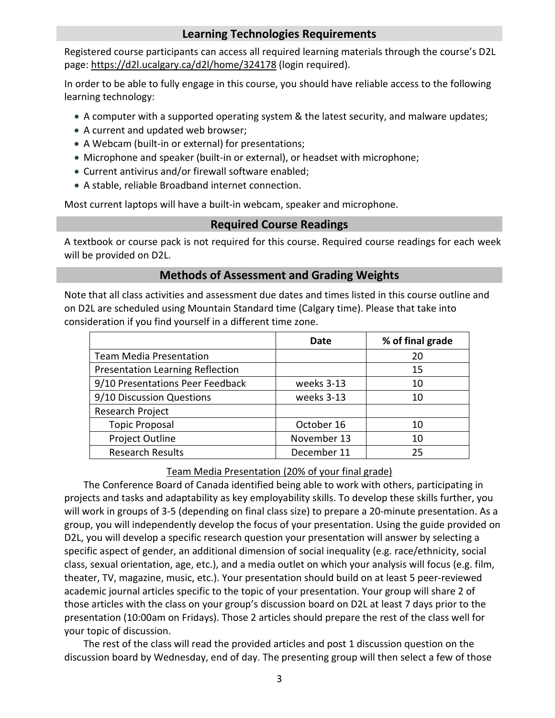# **Learning Technologies Requirements**

<span id="page-2-0"></span>Registered course participants can access all required learning materials through the course's D2L page:<https://d2l.ucalgary.ca/d2l/home/324178> (login required).

In order to be able to fully engage in this course, you should have reliable access to the following learning technology:

- A computer with a supported operating system & the latest security, and malware updates;
- A current and updated web browser;
- A Webcam (built-in or external) for presentations;
- Microphone and speaker (built-in or external), or headset with microphone;
- Current antivirus and/or firewall software enabled;
- A stable, reliable Broadband internet connection.

<span id="page-2-1"></span>Most current laptops will have a built-in webcam, speaker and microphone.

### **Required Course Readings**

A textbook or course pack is not required for this course. Required course readings for each week will be provided on D2L.

### **Methods of Assessment and Grading Weights**

<span id="page-2-2"></span>Note that all class activities and assessment due dates and times listed in this course outline and on D2L are scheduled using Mountain Standard time (Calgary time). Please that take into consideration if you find yourself in a different time zone.

|                                         | Date        | % of final grade |
|-----------------------------------------|-------------|------------------|
| <b>Team Media Presentation</b>          |             | 20               |
| <b>Presentation Learning Reflection</b> |             | 15               |
| 9/10 Presentations Peer Feedback        | weeks 3-13  | 10               |
| 9/10 Discussion Questions               | weeks 3-13  | 10               |
| Research Project                        |             |                  |
| <b>Topic Proposal</b>                   | October 16  | 10               |
| <b>Project Outline</b>                  | November 13 | 10               |
| <b>Research Results</b>                 | December 11 | 25               |

#### Team Media Presentation (20% of your final grade)

The Conference Board of Canada identified being able to work with others, participating in projects and tasks and adaptability as key employability skills. To develop these skills further, you will work in groups of 3-5 (depending on final class size) to prepare a 20-minute presentation. As a group, you will independently develop the focus of your presentation. Using the guide provided on D2L, you will develop a specific research question your presentation will answer by selecting a specific aspect of gender, an additional dimension of social inequality (e.g. race/ethnicity, social class, sexual orientation, age, etc.), and a media outlet on which your analysis will focus (e.g. film, theater, TV, magazine, music, etc.). Your presentation should build on at least 5 peer-reviewed academic journal articles specific to the topic of your presentation. Your group will share 2 of those articles with the class on your group's discussion board on D2L at least 7 days prior to the presentation (10:00am on Fridays). Those 2 articles should prepare the rest of the class well for your topic of discussion.

The rest of the class will read the provided articles and post 1 discussion question on the discussion board by Wednesday, end of day. The presenting group will then select a few of those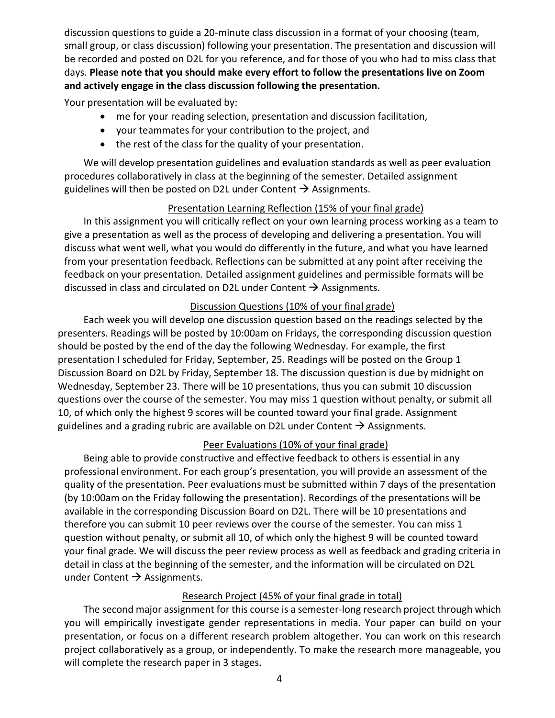discussion questions to guide a 20-minute class discussion in a format of your choosing (team, small group, or class discussion) following your presentation. The presentation and discussion will be recorded and posted on D2L for you reference, and for those of you who had to miss class that days. **Please note that you should make every effort to follow the presentations live on Zoom and actively engage in the class discussion following the presentation.**

Your presentation will be evaluated by:

- me for your reading selection, presentation and discussion facilitation,
- your teammates for your contribution to the project, and
- the rest of the class for the quality of your presentation.

We will develop presentation guidelines and evaluation standards as well as peer evaluation procedures collaboratively in class at the beginning of the semester. Detailed assignment guidelines will then be posted on D2L under Content  $\rightarrow$  Assignments.

# Presentation Learning Reflection (15% of your final grade)

In this assignment you will critically reflect on your own learning process working as a team to give a presentation as well as the process of developing and delivering a presentation. You will discuss what went well, what you would do differently in the future, and what you have learned from your presentation feedback. Reflections can be submitted at any point after receiving the feedback on your presentation. Detailed assignment guidelines and permissible formats will be discussed in class and circulated on D2L under Content  $\rightarrow$  Assignments.

# Discussion Questions (10% of your final grade)

Each week you will develop one discussion question based on the readings selected by the presenters. Readings will be posted by 10:00am on Fridays, the corresponding discussion question should be posted by the end of the day the following Wednesday. For example, the first presentation I scheduled for Friday, September, 25. Readings will be posted on the Group 1 Discussion Board on D2L by Friday, September 18. The discussion question is due by midnight on Wednesday, September 23. There will be 10 presentations, thus you can submit 10 discussion questions over the course of the semester. You may miss 1 question without penalty, or submit all 10, of which only the highest 9 scores will be counted toward your final grade. Assignment guidelines and a grading rubric are available on D2L under Content  $\rightarrow$  Assignments.

# Peer Evaluations (10% of your final grade)

Being able to provide constructive and effective feedback to others is essential in any professional environment. For each group's presentation, you will provide an assessment of the quality of the presentation. Peer evaluations must be submitted within 7 days of the presentation (by 10:00am on the Friday following the presentation). Recordings of the presentations will be available in the corresponding Discussion Board on D2L. There will be 10 presentations and therefore you can submit 10 peer reviews over the course of the semester. You can miss 1 question without penalty, or submit all 10, of which only the highest 9 will be counted toward your final grade. We will discuss the peer review process as well as feedback and grading criteria in detail in class at the beginning of the semester, and the information will be circulated on D2L under Content  $\rightarrow$  Assignments.

# Research Project (45% of your final grade in total)

The second major assignment for this course is a semester-long research project through which you will empirically investigate gender representations in media. Your paper can build on your presentation, or focus on a different research problem altogether. You can work on this research project collaboratively as a group, or independently. To make the research more manageable, you will complete the research paper in 3 stages.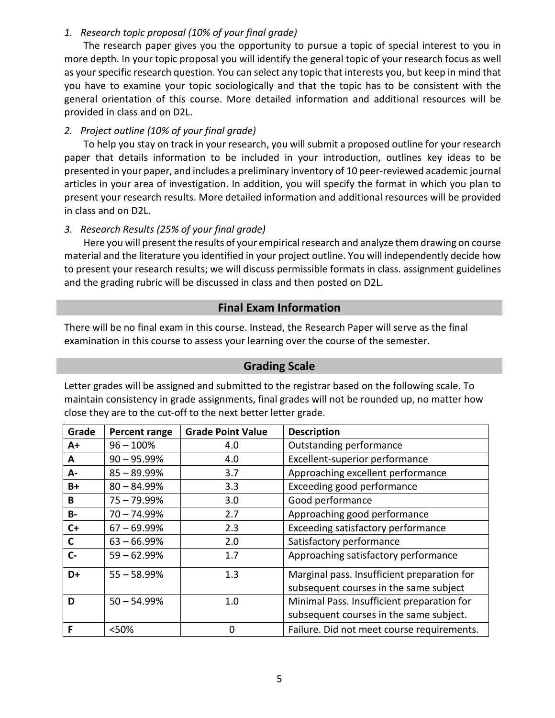### *1. Research topic proposal (10% of your final grade)*

The research paper gives you the opportunity to pursue a topic of special interest to you in more depth. In your topic proposal you will identify the general topic of your research focus as well as your specific research question. You can select any topic that interests you, but keep in mind that you have to examine your topic sociologically and that the topic has to be consistent with the general orientation of this course. More detailed information and additional resources will be provided in class and on D2L.

### *2. Project outline (10% of your final grade)*

To help you stay on track in your research, you will submit a proposed outline for your research paper that details information to be included in your introduction, outlines key ideas to be presented in your paper, and includes a preliminary inventory of 10 peer-reviewed academic journal articles in your area of investigation. In addition, you will specify the format in which you plan to present your research results. More detailed information and additional resources will be provided in class and on D2L.

### *3. Research Results (25% of your final grade)*

Here you will present the results of your empirical research and analyze them drawing on course material and the literature you identified in your project outline. You will independently decide how to present your research results; we will discuss permissible formats in class. assignment guidelines and the grading rubric will be discussed in class and then posted on D2L.

# **Final Exam Information**

<span id="page-4-0"></span>There will be no final exam in this course. Instead, the Research Paper will serve as the final examination in this course to assess your learning over the course of the semester.

# **Grading Scale**

<span id="page-4-1"></span>Letter grades will be assigned and submitted to the registrar based on the following scale. To maintain consistency in grade assignments, final grades will not be rounded up, no matter how close they are to the cut-off to the next better letter grade.

| Grade     | Percent range  | <b>Grade Point Value</b> | <b>Description</b>                          |
|-----------|----------------|--------------------------|---------------------------------------------|
| $A+$      | $96 - 100%$    | 4.0                      | Outstanding performance                     |
| A         | $90 - 95.99%$  | 4.0                      | Excellent-superior performance              |
| А-        | $85 - 89.99\%$ | 3.7                      | Approaching excellent performance           |
| B+        | $80 - 84.99%$  | 3.3                      | Exceeding good performance                  |
| B         | $75 - 79.99%$  | 3.0                      | Good performance                            |
| <b>B-</b> | $70 - 74.99%$  | 2.7                      | Approaching good performance                |
| $C+$      | $67 - 69.99%$  | 2.3                      | Exceeding satisfactory performance          |
| C         | $63 - 66.99%$  | 2.0                      | Satisfactory performance                    |
| $C -$     | $59 - 62.99%$  | 1.7                      | Approaching satisfactory performance        |
| D+        | $55 - 58.99%$  | 1.3                      | Marginal pass. Insufficient preparation for |
|           |                |                          | subsequent courses in the same subject      |
| D         | $50 - 54.99%$  | 1.0                      | Minimal Pass. Insufficient preparation for  |
|           |                |                          | subsequent courses in the same subject.     |
| F         | <50%           | 0                        | Failure. Did not meet course requirements.  |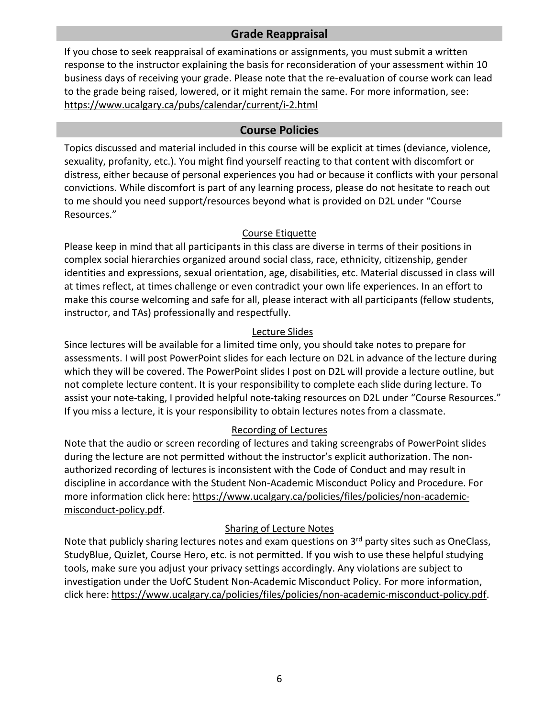# **Grade Reappraisal**

<span id="page-5-0"></span>If you chose to seek reappraisal of examinations or assignments, you must submit a written response to the instructor explaining the basis for reconsideration of your assessment within 10 business days of receiving your grade. Please note that the re-evaluation of course work can lead to the grade being raised, lowered, or it might remain the same. For more information, see: <https://www.ucalgary.ca/pubs/calendar/current/i-2.html>

### **Course Policies**

<span id="page-5-1"></span>Topics discussed and material included in this course will be explicit at times (deviance, violence, sexuality, profanity, etc.). You might find yourself reacting to that content with discomfort or distress, either because of personal experiences you had or because it conflicts with your personal convictions. While discomfort is part of any learning process, please do not hesitate to reach out to me should you need support/resources beyond what is provided on D2L under "Course Resources."

#### Course Etiquette

Please keep in mind that all participants in this class are diverse in terms of their positions in complex social hierarchies organized around social class, race, ethnicity, citizenship, gender identities and expressions, sexual orientation, age, disabilities, etc. Material discussed in class will at times reflect, at times challenge or even contradict your own life experiences. In an effort to make this course welcoming and safe for all, please interact with all participants (fellow students, instructor, and TAs) professionally and respectfully.

### Lecture Slides

Since lectures will be available for a limited time only, you should take notes to prepare for assessments. I will post PowerPoint slides for each lecture on D2L in advance of the lecture during which they will be covered. The PowerPoint slides I post on D2L will provide a lecture outline, but not complete lecture content. It is your responsibility to complete each slide during lecture. To assist your note-taking, I provided helpful note-taking resources on D2L under "Course Resources." If you miss a lecture, it is your responsibility to obtain lectures notes from a classmate.

### Recording of Lectures

Note that the audio or screen recording of lectures and taking screengrabs of PowerPoint slides during the lecture are not permitted without the instructor's explicit authorization. The nonauthorized recording of lectures is inconsistent with the Code of Conduct and may result in discipline in accordance with the Student Non-Academic Misconduct Policy and Procedure. For more information click here: [https://www.ucalgary.ca/policies/files/policies/non-academic](https://www.ucalgary.ca/policies/files/policies/non-academic-misconduct-policy.pdf)[misconduct-policy.pdf.](https://www.ucalgary.ca/policies/files/policies/non-academic-misconduct-policy.pdf)

### Sharing of Lecture Notes

Note that publicly sharing lectures notes and exam questions on 3<sup>rd</sup> party sites such as OneClass, StudyBlue, Quizlet, Course Hero, etc. is not permitted. If you wish to use these helpful studying tools, make sure you adjust your privacy settings accordingly. Any violations are subject to investigation under the UofC Student Non-Academic Misconduct Policy. For more information, click here: [https://www.ucalgary.ca/policies/files/policies/non-academic-misconduct-policy.pdf.](https://www.ucalgary.ca/policies/files/policies/non-academic-misconduct-policy.pdf)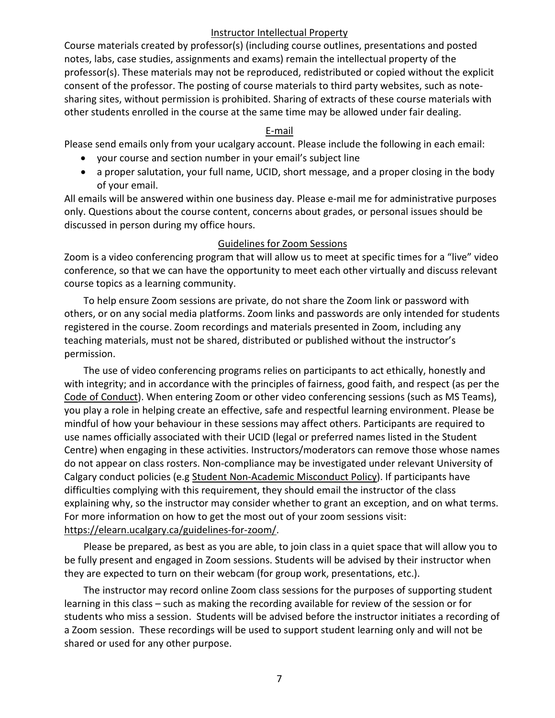#### Instructor Intellectual Property

Course materials created by professor(s) (including course outlines, presentations and posted notes, labs, case studies, assignments and exams) remain the intellectual property of the professor(s). These materials may not be reproduced, redistributed or copied without the explicit consent of the professor. The posting of course materials to third party websites, such as notesharing sites, without permission is prohibited. Sharing of extracts of these course materials with other students enrolled in the course at the same time may be allowed under fair dealing.

#### E-mail

Please send emails only from your ucalgary account. Please include the following in each email:

- your course and section number in your email's subject line
- a proper salutation, your full name, UCID, short message, and a proper closing in the body of your email.

All emails will be answered within one business day. Please e-mail me for administrative purposes only. Questions about the course content, concerns about grades, or personal issues should be discussed in person during my office hours.

#### Guidelines for Zoom Sessions

Zoom is a video conferencing program that will allow us to meet at specific times for a "live" video conference, so that we can have the opportunity to meet each other virtually and discuss relevant course topics as a learning community.

To help ensure Zoom sessions are private, do not share the Zoom link or password with others, or on any social media platforms. Zoom links and passwords are only intended for students registered in the course. Zoom recordings and materials presented in Zoom, including any teaching materials, must not be shared, distributed or published without the instructor's permission.

The use of video conferencing programs relies on participants to act ethically, honestly and with integrity; and in accordance with the principles of fairness, good faith, and respect (as per the [Code of Conduct\)](https://www.ucalgary.ca/policies/files/policies/code-of-conduct.pdf). When entering Zoom or other video conferencing sessions (such as MS Teams), you play a role in helping create an effective, safe and respectful learning environment. Please be mindful of how your behaviour in these sessions may affect others. Participants are required to use names officially associated with their UCID (legal or preferred names listed in the Student Centre) when engaging in these activities. Instructors/moderators can remove those whose names do not appear on class rosters. Non-compliance may be investigated under relevant University of Calgary conduct policies (e.g [Student Non-Academic Misconduct Policy\)](https://ucalgary.ca/policies/files/policies/non-academic-misconduct-policy.pdf). If participants have difficulties complying with this requirement, they should email the instructor of the class explaining why, so the instructor may consider whether to grant an exception, and on what terms. For more information on how to get the most out of your zoom sessions visit: [https://elearn.ucalgary.ca/guidelines-for-zoom/.](https://elearn.ucalgary.ca/guidelines-for-zoom/)

Please be prepared, as best as you are able, to join class in a quiet space that will allow you to be fully present and engaged in Zoom sessions. Students will be advised by their instructor when they are expected to turn on their webcam (for group work, presentations, etc.).

The instructor may record online Zoom class sessions for the purposes of supporting student learning in this class – such as making the recording available for review of the session or for students who miss a session. Students will be advised before the instructor initiates a recording of a Zoom session. These recordings will be used to support student learning only and will not be shared or used for any other purpose.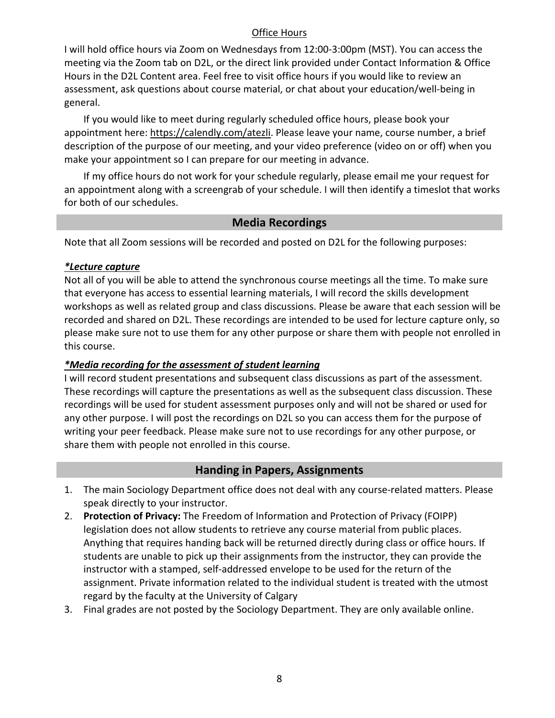### Office Hours

I will hold office hours via Zoom on Wednesdays from 12:00-3:00pm (MST). You can access the meeting via the Zoom tab on D2L, or the direct link provided under Contact Information & Office Hours in the D2L Content area. Feel free to visit office hours if you would like to review an assessment, ask questions about course material, or chat about your education/well-being in general.

If you would like to meet during regularly scheduled office hours, please book your appointment here[: https://calendly.com/atezli.](https://calendly.com/atezli) Please leave your name, course number, a brief description of the purpose of our meeting, and your video preference (video on or off) when you make your appointment so I can prepare for our meeting in advance.

If my office hours do not work for your schedule regularly, please email me your request for an appointment along with a screengrab of your schedule. I will then identify a timeslot that works for both of our schedules.

# **Media Recordings**

<span id="page-7-0"></span>Note that all Zoom sessions will be recorded and posted on D2L for the following purposes:

### *\*Lecture capture*

Not all of you will be able to attend the synchronous course meetings all the time. To make sure that everyone has access to essential learning materials, I will record the skills development workshops as well as related group and class discussions. Please be aware that each session will be recorded and shared on D2L. These recordings are intended to be used for lecture capture only, so please make sure not to use them for any other purpose or share them with people not enrolled in this course.

### *\*Media recording for the assessment of student learning*

I will record student presentations and subsequent class discussions as part of the assessment. These recordings will capture the presentations as well as the subsequent class discussion. These recordings will be used for student assessment purposes only and will not be shared or used for any other purpose. I will post the recordings on D2L so you can access them for the purpose of writing your peer feedback. Please make sure not to use recordings for any other purpose, or share them with people not enrolled in this course.

# **Handing in Papers, Assignments**

- <span id="page-7-1"></span>1. The main Sociology Department office does not deal with any course-related matters. Please speak directly to your instructor.
- 2. **Protection of Privacy:** The Freedom of Information and Protection of Privacy (FOIPP) legislation does not allow students to retrieve any course material from public places. Anything that requires handing back will be returned directly during class or office hours. If students are unable to pick up their assignments from the instructor, they can provide the instructor with a stamped, self-addressed envelope to be used for the return of the assignment. Private information related to the individual student is treated with the utmost regard by the faculty at the University of Calgary
- 3. Final grades are not posted by the Sociology Department. They are only available online.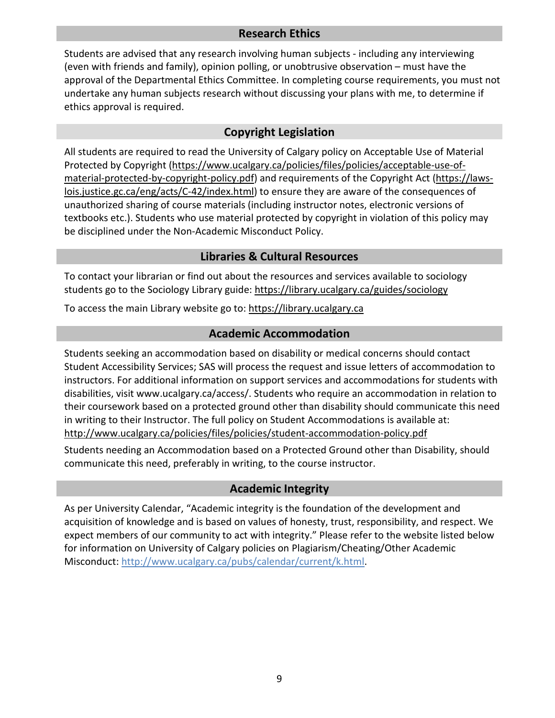# **Research Ethics**

<span id="page-8-0"></span>Students are advised that any research involving human subjects - including any interviewing (even with friends and family), opinion polling, or unobtrusive observation – must have the approval of the Departmental Ethics Committee. In completing course requirements, you must not undertake any human subjects research without discussing your plans with me, to determine if ethics approval is required.

# **Copyright Legislation**

<span id="page-8-1"></span>All students are required to read the University of Calgary policy on Acceptable Use of Material Protected by Copyright [\(https://www.ucalgary.ca/policies/files/policies/acceptable-use-of](https://www.ucalgary.ca/policies/files/policies/acceptable-use-of-material-protected-by-copyright-policy.pdf)[material-protected-by-copyright-policy.pdf\)](https://www.ucalgary.ca/policies/files/policies/acceptable-use-of-material-protected-by-copyright-policy.pdf) and requirements of the Copyright Act [\(https://laws](https://laws-lois.justice.gc.ca/eng/acts/C-42/index.html)[lois.justice.gc.ca/eng/acts/C-42/index.html\)](https://laws-lois.justice.gc.ca/eng/acts/C-42/index.html) to ensure they are aware of the consequences of unauthorized sharing of course materials (including instructor notes, electronic versions of textbooks etc.). Students who use material protected by copyright in violation of this policy may be disciplined under the Non-Academic Misconduct Policy.

# **Libraries & Cultural Resources**

<span id="page-8-2"></span>To contact your librarian or find out about the resources and services available to sociology students go to the Sociology Library guide:<https://library.ucalgary.ca/guides/sociology>

<span id="page-8-3"></span>To access the main Library website go to: [https://library.ucalgary.ca](https://library.ucalgary.ca/)

### **Academic Accommodation**

Students seeking an accommodation based on disability or medical concerns should contact Student Accessibility Services; SAS will process the request and issue letters of accommodation to instructors. For additional information on support services and accommodations for students with disabilities, visit www.ucalgary.ca/access/. Students who require an accommodation in relation to their coursework based on a protected ground other than disability should communicate this need in writing to their Instructor. The full policy on Student Accommodations is available at: <http://www.ucalgary.ca/policies/files/policies/student-accommodation-policy.pdf>

Students needing an Accommodation based on a Protected Ground other than Disability, should communicate this need, preferably in writing, to the course instructor.

# **Academic Integrity**

<span id="page-8-4"></span>As per University Calendar, "Academic integrity is the foundation of the development and acquisition of knowledge and is based on values of honesty, trust, responsibility, and respect. We expect members of our community to act with integrity." Please refer to the website listed below for information on University of Calgary policies on Plagiarism/Cheating/Other Academic Misconduct: [http://www.ucalgary.ca/pubs/calendar/current/k.html.](http://www.ucalgary.ca/pubs/calendar/current/k.html)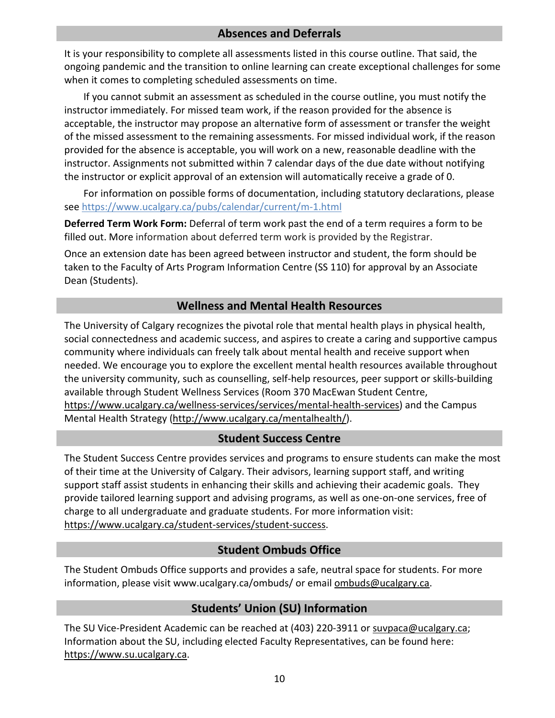# **Absences and Deferrals**

<span id="page-9-0"></span>It is your responsibility to complete all assessments listed in this course outline. That said, the ongoing pandemic and the transition to online learning can create exceptional challenges for some when it comes to completing scheduled assessments on time.

If you cannot submit an assessment as scheduled in the course outline, you must notify the instructor immediately. For missed team work, if the reason provided for the absence is acceptable, the instructor may propose an alternative form of assessment or transfer the weight of the missed assessment to the remaining assessments. For missed individual work, if the reason provided for the absence is acceptable, you will work on a new, reasonable deadline with the instructor. Assignments not submitted within 7 calendar days of the due date without notifying the instructor or explicit approval of an extension will automatically receive a grade of 0.

For information on possible forms of documentation, including statutory declarations, please see <https://www.ucalgary.ca/pubs/calendar/current/m-1.html>

**Deferred Term Work Form:** Deferral of term work past the end of a term requires a form to be filled out. More information about deferred term work is provided by the Registrar.

Once an extension date has been agreed between instructor and student, the form should be taken to the Faculty of Arts Program Information Centre (SS 110) for approval by an Associate Dean (Students).

# **Wellness and Mental Health Resources**

<span id="page-9-1"></span>The University of Calgary recognizes the pivotal role that mental health plays in physical health, social connectedness and academic success, and aspires to create a caring and supportive campus community where individuals can freely talk about mental health and receive support when needed. We encourage you to explore the excellent mental health resources available throughout the university community, such as counselling, self-help resources, peer support or skills-building available through Student Wellness Services (Room 370 MacEwan Student Centre, [https://www.ucalgary.ca/wellness-services/services/mental-health-services\)](https://www.ucalgary.ca/wellness-services/services/mental-health-services) and the Campus Mental Health Strategy [\(http://www.ucalgary.ca/mentalhealth/\)](http://www.ucalgary.ca/mentalhealth/).

# **Student Success Centre**

<span id="page-9-2"></span>The Student Success Centre provides services and programs to ensure students can make the most of their time at the University of Calgary. Their advisors, learning support staff, and writing support staff assist students in enhancing their skills and achieving their academic goals. They provide tailored learning support and advising programs, as well as one-on-one services, free of charge to all undergraduate and graduate students. For more information visit: [https://www.ucalgary.ca/student-services/student-success.](https://www.ucalgary.ca/student-services/student-success)

# **Student Ombuds Office**

<span id="page-9-3"></span>The Student Ombuds Office supports and provides a safe, neutral space for students. For more information, please visit www.ucalgary.ca/ombuds/ or email [ombuds@ucalgary.ca.](mailto:ombuds@ucalgary.ca)

# **Students' Union (SU) Information**

<span id="page-9-4"></span>The SU Vice-President Academic can be reached at (403) 220-3911 or [suvpaca@ucalgary.ca;](mailto:suvpaca@ucalgary.ca) Information about the SU, including elected Faculty Representatives, can be found here: [https://www.su.ucalgary.ca.](https://www.su.ucalgary.ca/)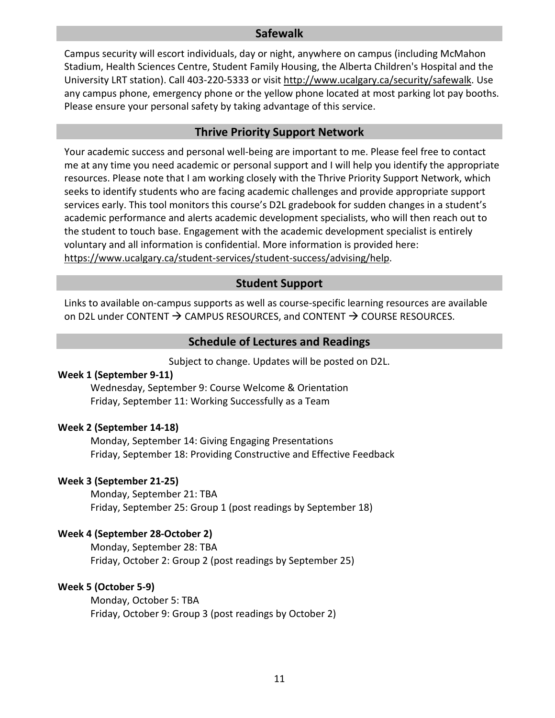### **Safewalk**

<span id="page-10-0"></span>Campus security will escort individuals, day or night, anywhere on campus (including McMahon Stadium, Health Sciences Centre, Student Family Housing, the Alberta Children's Hospital and the University LRT station). Call 403-220-5333 or visit [http://www.ucalgary.ca/security/safewalk.](http://www.ucalgary.ca/security/safewalk) Use any campus phone, emergency phone or the yellow phone located at most parking lot pay booths. Please ensure your personal safety by taking advantage of this service.

#### **Thrive Priority Support Network**

<span id="page-10-1"></span>Your academic success and personal well-being are important to me. Please feel free to contact me at any time you need academic or personal support and I will help you identify the appropriate resources. Please note that I am working closely with the Thrive Priority Support Network, which seeks to identify students who are facing academic challenges and provide appropriate support services early. This tool monitors this course's D2L gradebook for sudden changes in a student's academic performance and alerts academic development specialists, who will then reach out to the student to touch base. Engagement with the academic development specialist is entirely voluntary and all information is confidential. More information is provided here: [https://www.ucalgary.ca/student-services/student-success/advising/help.](https://www.ucalgary.ca/student-services/student-success/advising/help)

### **Student Support**

Links to available on-campus supports as well as course-specific learning resources are available on D2L under CONTENT  $\rightarrow$  CAMPUS RESOURCES, and CONTENT  $\rightarrow$  COURSE RESOURCES.

### **Schedule of Lectures and Readings**

Subject to change. Updates will be posted on D2L.

#### <span id="page-10-2"></span>**Week 1 (September 9-11)**

Wednesday, September 9: Course Welcome & Orientation Friday, September 11: Working Successfully as a Team

#### **Week 2 (September 14-18)**

Monday, September 14: Giving Engaging Presentations Friday, September 18: Providing Constructive and Effective Feedback

#### **Week 3 (September 21-25)**

Monday, September 21: TBA Friday, September 25: Group 1 (post readings by September 18)

#### **Week 4 (September 28-October 2)**

Monday, September 28: TBA Friday, October 2: Group 2 (post readings by September 25)

#### **Week 5 (October 5-9)**

Monday, October 5: TBA Friday, October 9: Group 3 (post readings by October 2)